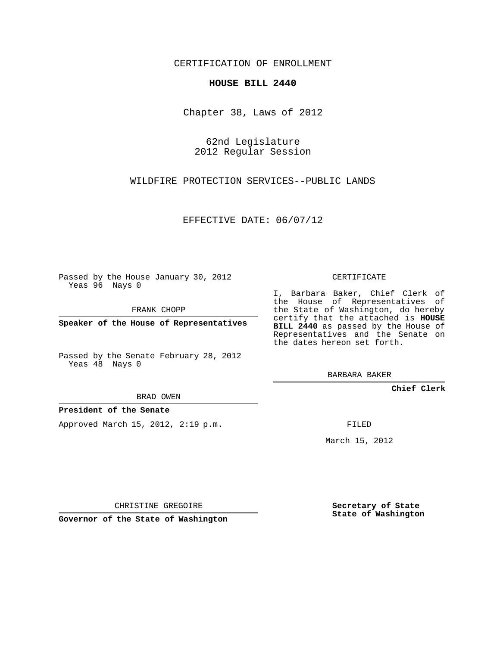### CERTIFICATION OF ENROLLMENT

#### **HOUSE BILL 2440**

Chapter 38, Laws of 2012

62nd Legislature 2012 Regular Session

WILDFIRE PROTECTION SERVICES--PUBLIC LANDS

EFFECTIVE DATE: 06/07/12

Passed by the House January 30, 2012 Yeas 96 Nays 0

FRANK CHOPP

**Speaker of the House of Representatives**

Passed by the Senate February 28, 2012 Yeas 48 Nays 0

BRAD OWEN

### **President of the Senate**

Approved March 15, 2012, 2:19 p.m.

CERTIFICATE

I, Barbara Baker, Chief Clerk of the House of Representatives of the State of Washington, do hereby certify that the attached is **HOUSE BILL 2440** as passed by the House of Representatives and the Senate on the dates hereon set forth.

BARBARA BAKER

**Chief Clerk**

FILED

March 15, 2012

CHRISTINE GREGOIRE

**Governor of the State of Washington**

**Secretary of State State of Washington**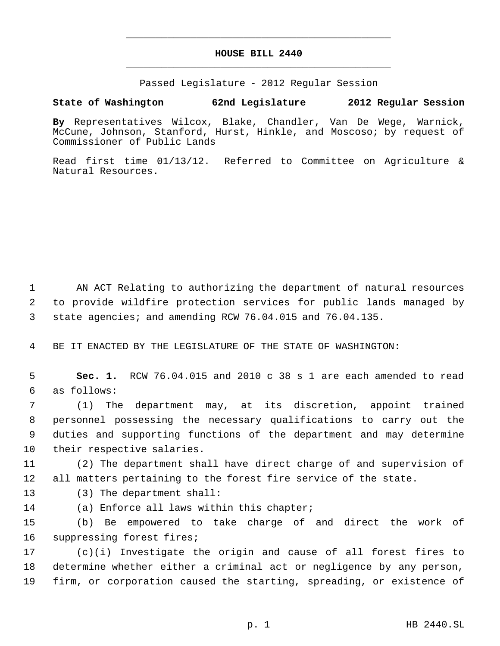# **HOUSE BILL 2440** \_\_\_\_\_\_\_\_\_\_\_\_\_\_\_\_\_\_\_\_\_\_\_\_\_\_\_\_\_\_\_\_\_\_\_\_\_\_\_\_\_\_\_\_\_

\_\_\_\_\_\_\_\_\_\_\_\_\_\_\_\_\_\_\_\_\_\_\_\_\_\_\_\_\_\_\_\_\_\_\_\_\_\_\_\_\_\_\_\_\_

Passed Legislature - 2012 Regular Session

## **State of Washington 62nd Legislature 2012 Regular Session**

**By** Representatives Wilcox, Blake, Chandler, Van De Wege, Warnick, McCune, Johnson, Stanford, Hurst, Hinkle, and Moscoso; by request of Commissioner of Public Lands

Read first time 01/13/12. Referred to Committee on Agriculture & Natural Resources.

 AN ACT Relating to authorizing the department of natural resources to provide wildfire protection services for public lands managed by state agencies; and amending RCW 76.04.015 and 76.04.135.

BE IT ENACTED BY THE LEGISLATURE OF THE STATE OF WASHINGTON:

 **Sec. 1.** RCW 76.04.015 and 2010 c 38 s 1 are each amended to read as follows:

 (1) The department may, at its discretion, appoint trained personnel possessing the necessary qualifications to carry out the duties and supporting functions of the department and may determine their respective salaries.

 (2) The department shall have direct charge of and supervision of all matters pertaining to the forest fire service of the state.

(3) The department shall:

(a) Enforce all laws within this chapter;

 (b) Be empowered to take charge of and direct the work of suppressing forest fires;

 (c)(i) Investigate the origin and cause of all forest fires to determine whether either a criminal act or negligence by any person, firm, or corporation caused the starting, spreading, or existence of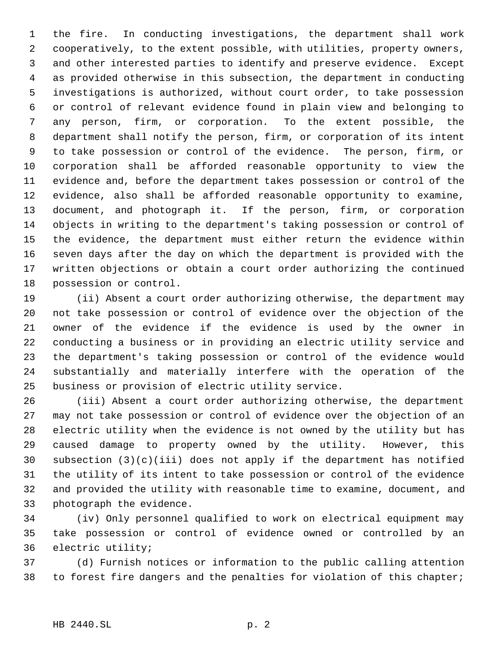the fire. In conducting investigations, the department shall work cooperatively, to the extent possible, with utilities, property owners, and other interested parties to identify and preserve evidence. Except as provided otherwise in this subsection, the department in conducting investigations is authorized, without court order, to take possession or control of relevant evidence found in plain view and belonging to any person, firm, or corporation. To the extent possible, the department shall notify the person, firm, or corporation of its intent to take possession or control of the evidence. The person, firm, or corporation shall be afforded reasonable opportunity to view the evidence and, before the department takes possession or control of the evidence, also shall be afforded reasonable opportunity to examine, document, and photograph it. If the person, firm, or corporation objects in writing to the department's taking possession or control of the evidence, the department must either return the evidence within seven days after the day on which the department is provided with the written objections or obtain a court order authorizing the continued possession or control.

 (ii) Absent a court order authorizing otherwise, the department may not take possession or control of evidence over the objection of the owner of the evidence if the evidence is used by the owner in conducting a business or in providing an electric utility service and the department's taking possession or control of the evidence would substantially and materially interfere with the operation of the business or provision of electric utility service.

 (iii) Absent a court order authorizing otherwise, the department may not take possession or control of evidence over the objection of an electric utility when the evidence is not owned by the utility but has caused damage to property owned by the utility. However, this subsection (3)(c)(iii) does not apply if the department has notified the utility of its intent to take possession or control of the evidence and provided the utility with reasonable time to examine, document, and photograph the evidence.

 (iv) Only personnel qualified to work on electrical equipment may take possession or control of evidence owned or controlled by an electric utility;

 (d) Furnish notices or information to the public calling attention to forest fire dangers and the penalties for violation of this chapter;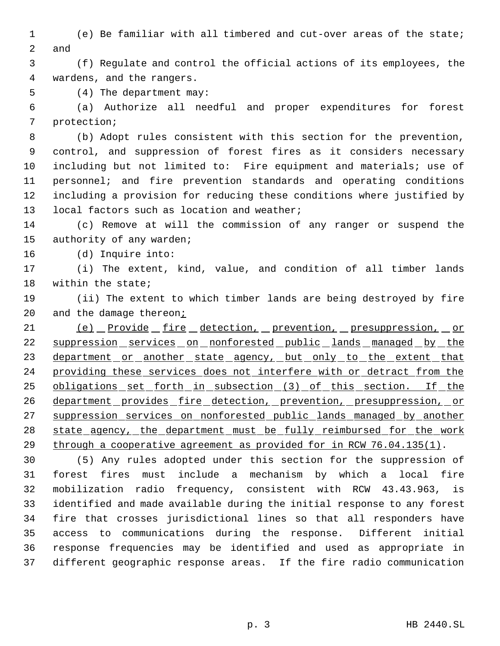(e) Be familiar with all timbered and cut-over areas of the state; and

 (f) Regulate and control the official actions of its employees, the wardens, and the rangers.

(4) The department may:

 (a) Authorize all needful and proper expenditures for forest protection;

 (b) Adopt rules consistent with this section for the prevention, control, and suppression of forest fires as it considers necessary including but not limited to: Fire equipment and materials; use of personnel; and fire prevention standards and operating conditions including a provision for reducing these conditions where justified by 13 local factors such as location and weather;

 (c) Remove at will the commission of any ranger or suspend the 15 authority of any warden;

(d) Inquire into:

 (i) The extent, kind, value, and condition of all timber lands within the state;

 (ii) The extent to which timber lands are being destroyed by fire 20 and the damage thereoni

 (e) Provide fire detection, prevention, presuppression, or 22 suppression services on nonforested public lands managed by the 23 department or another state agency, but only to the extent that 24 providing these services does not interfere with or detract from the obligations set forth in subsection (3) of this section. If the 26 department provides fire detection, prevention, presuppression, or suppression services on nonforested public lands managed by another 28 state agency, the department must be fully reimbursed for the work through a cooperative agreement as provided for in RCW 76.04.135(1).

 (5) Any rules adopted under this section for the suppression of forest fires must include a mechanism by which a local fire mobilization radio frequency, consistent with RCW 43.43.963, is identified and made available during the initial response to any forest fire that crosses jurisdictional lines so that all responders have access to communications during the response. Different initial response frequencies may be identified and used as appropriate in different geographic response areas. If the fire radio communication